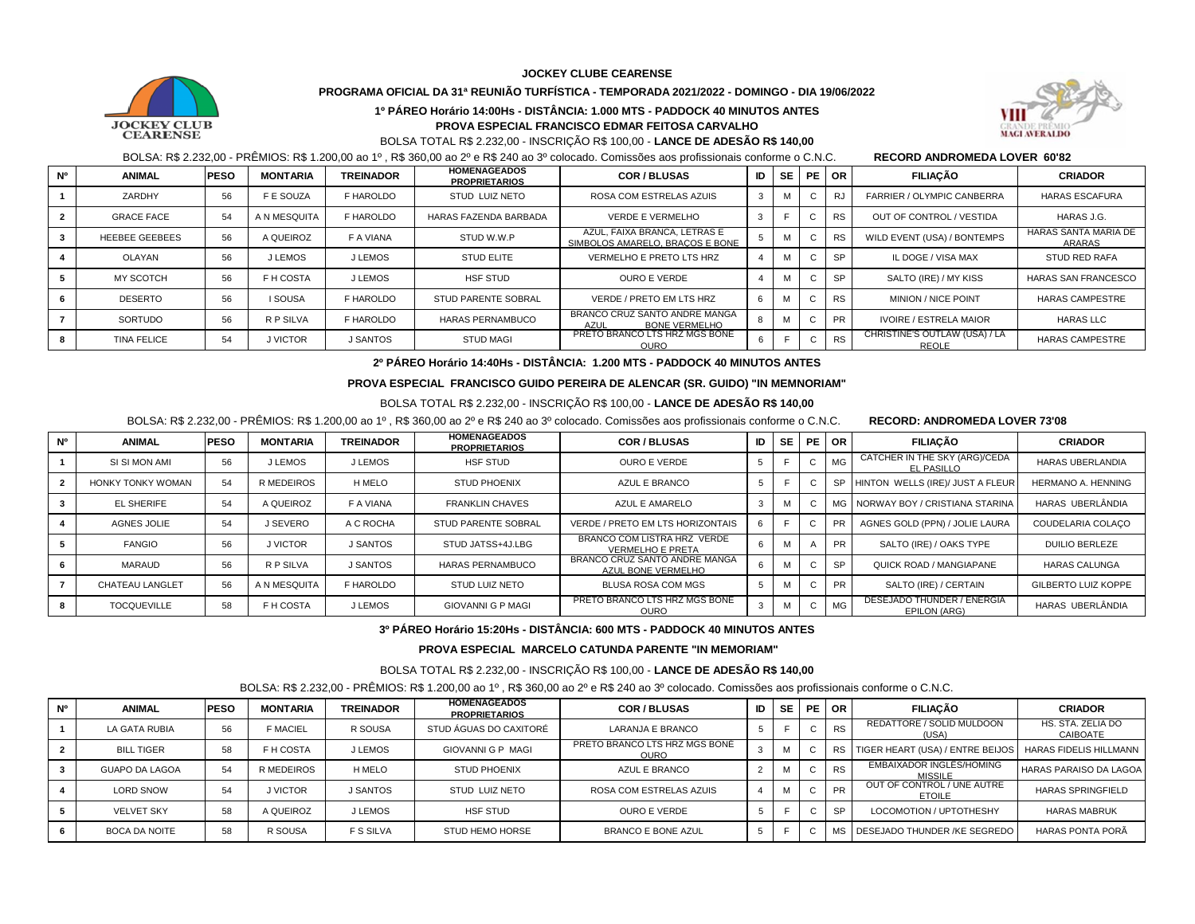**JOCKEY CLUBE CEARENSE**



# **PROGRAMA OFICIAL DA 31ª REUNIÃO TURFÍSTICA - TEMPORADA 2021/2022 - DOMINGO - DIA 19/06/2022**





# BOLSA TOTAL R\$ 2.232,00 - INSCRIÇÃO R\$ 100,00 - **LANCE DE ADESÃO R\$ 140,00**

BOLSA: R\$ 2.232,00 - PRÊMIOS: R\$ 1.200,00 ao 1º , R\$ 360,00 ao 2º e R\$ 240 ao 3º colocado. Comissões aos profissionais conforme o C.N.C. **RECORD ANDROMEDA LOVER 60'82** 

| <b>N°</b> | <b>ANIMAL</b>         | <b>PESO</b> | <b>MONTARIA</b> | <b>TREINADOR</b> | <b>HOMENAGEADOS</b><br><b>PROPRIETARIOS</b> | <b>COR/BLUSAS</b>                                                    | ID | <b>SE</b> |   | PE OR     | <b>FILIACÃO</b>                               | <b>CRIADOR</b>                 |
|-----------|-----------------------|-------------|-----------------|------------------|---------------------------------------------|----------------------------------------------------------------------|----|-----------|---|-----------|-----------------------------------------------|--------------------------------|
|           | ZARDHY                | 56          | F E SOUZA       | F HAROLDO        | STUD LUIZ NETO                              | ROSA COM ESTRELAS AZUIS                                              |    | M         |   | RJ        | FARRIER / OLYMPIC CANBERRA                    | <b>HARAS ESCAFURA</b>          |
|           | <b>GRACE FACE</b>     | 54          | A N MESQUITA    | F HAROLDO        | HARAS FAZENDA BARBADA                       | VERDE E VERMELHO                                                     | -3 |           |   | <b>RS</b> | OUT OF CONTROL / VESTIDA                      | HARAS J.G.                     |
|           | <b>HEEBEE GEEBEES</b> | 56          | A QUEIROZ       | F A VIANA        | STUD W.W.P                                  | AZUL, FAIXA BRANCA, LETRAS E<br>SIMBOLOS AMARELO, BRACOS E BONE      |    |           |   | <b>RS</b> | WILD EVENT (USA) / BONTEMPS                   | HARAS SANTA MARIA DE<br>ARARAS |
|           | OLAYAN                | 56          | J LEMOS         | J LEMOS          | <b>STUD ELITE</b>                           | VERMELHO E PRETO LTS HRZ                                             |    | M         |   | <b>SP</b> | IL DOGE / VISA MAX                            | <b>STUD RED RAFA</b>           |
|           | <b>MY SCOTCH</b>      | 56          | F H COSTA       | J LEMOS          | <b>HSF STUD</b>                             | OURO E VERDE                                                         |    | м         |   | <b>SP</b> | SALTO (IRE) / MY KISS                         | <b>HARAS SAN FRANCESCO</b>     |
|           | <b>DESERTO</b>        | 56          | <b>I SOUSA</b>  | F HAROLDO        | STUD PARENTE SOBRAL                         | VERDE / PRETO EM LTS HRZ                                             | 6  | M         |   | <b>RS</b> | <b>MINION / NICE POINT</b>                    | <b>HARAS CAMPESTRE</b>         |
|           | SORTUDO               | 56          | R P SILVA       | F HAROLDO        | HARAS PERNAMBUCO                            | BRANCO CRUZ SANTO ANDRE MANGA<br><b>BONE VERMELHO</b><br><b>AZUL</b> |    | M         |   | PR        | <b>IVOIRE / ESTRELA MAIOR</b>                 | <b>HARAS LLC</b>               |
|           | <b>TINA FELICE</b>    | 54          | J VICTOR        | J SANTOS         | <b>STUD MAGI</b>                            | PRETO BRANCO LTS HRZ MGS BONĖ<br><b>OURO</b>                         |    |           | ◡ | <b>RS</b> | CHRISTINE'S OUTLAW (USA) / LA<br><b>REOLE</b> | <b>HARAS CAMPESTRE</b>         |

**2º PÁREO Horário 14:40Hs - DISTÂNCIA: 1.200 MTS - PADDOCK 40 MINUTOS ANTES**

#### **PROVA ESPECIAL FRANCISCO GUIDO PEREIRA DE ALENCAR (SR. GUIDO) "IN MEMNORIAM"**

#### BOLSA TOTAL R\$ 2.232,00 - INSCRIÇÃO R\$ 100,00 - **LANCE DE ADESÃO R\$ 140,00**

BOLSA: R\$ 2.232,00 - PRÊMIOS: R\$ 1.200,00 ao 1º , R\$ 360,00 ao 2º e R\$ 240 ao 3º colocado. Comissões aos profissionais conforme o C.N.C. **RECORD: ANDROMEDA LOVER 73'08** 

| <b>N°</b> | <b>ANIMAL</b>          | <b>PESO</b> | <b>MONTARIA</b>   | <b>TREINADOR</b> | <b>HOMENAGEADOS</b><br><b>PROPRIETARIOS</b> | <b>COR/BLUSAS</b>                                      | ID | <b>SE</b> |    | <b>PE OR</b>    | <b>FILIACÃO</b>                                    | <b>CRIADOR</b>             |
|-----------|------------------------|-------------|-------------------|------------------|---------------------------------------------|--------------------------------------------------------|----|-----------|----|-----------------|----------------------------------------------------|----------------------------|
|           | SI SI MON AMI          | 56          | J LEMOS           | J LEMOS          | <b>HSF STUD</b>                             | <b>OURO E VERDE</b>                                    |    |           | U  | MG <sub>2</sub> | CATCHER IN THE SKY (ARG)/CEDA<br><b>EL PASILLO</b> | <b>HARAS UBERLANDIA</b>    |
|           | HONKY TONKY WOMAN      | 54          | <b>R MEDEIROS</b> | H MELO           | <b>STUD PHOENIX</b>                         | AZUL E BRANCO                                          | 5  |           | ı. | <b>SP</b>       | HINTON WELLS (IRE)/ JUST A FLEUR                   | <b>HERMANO A. HENNING</b>  |
|           | <b>EL SHERIFE</b>      | 54          | A QUEIROZ         | F A VIANA        | <b>FRANKLIN CHAVES</b>                      | AZUL E AMARELO                                         | 3  | M         | C  |                 | MG NORWAY BOY / CRISTIANA STARINA                  | HARAS UBERLÂNDIA           |
|           | AGNES JOLIE            | 54          | J SEVERO          | A C ROCHA        | <b>STUD PARENTE SOBRAL</b>                  | VERDE / PRETO EM LTS HORIZONTAIS                       |    |           | ◡  |                 | AGNES GOLD (PPN) / JOLIE LAURA                     | COUDELARIA COLACO          |
|           | <b>FANGIO</b>          | 56          | J VICTOR          | J SANTOS         | STUD JATSS+4J.LBG                           | BRANCO COM LISTRA HRZ VERDE<br><b>VERMELHO E PRETA</b> | 6  |           |    | <b>PR</b>       | SALTO (IRE) / OAKS TYPE                            | <b>DUILIO BERLEZE</b>      |
|           | MARAUD                 | 56          | R P SILVA         | J SANTOS         | HARAS PERNAMBUCO                            | BRANCO CRUZ SANTO ANDRE MANGA<br>AZUL BONE VERMELHO    | 6  |           | ι. | <b>SP</b>       | <b>QUICK ROAD / MANGIAPANE</b>                     | <b>HARAS CALUNGA</b>       |
|           | <b>CHATEAU LANGLET</b> | 56          | A N MESQUITA      | F HAROLDO        | STUD LUIZ NETO                              | BLUSA ROSA COM MGS                                     | 5  |           | ı. | <b>PR</b>       | SALTO (IRE) / CERTAIN                              | <b>GILBERTO LUIZ KOPPE</b> |
|           | <b>TOCQUEVILLE</b>     | 58          | F H COSTA         | J LEMOS          | <b>GIOVANNI G P MAGI</b>                    | PRETO BRANCO LTS HRZ MGS BONĖ<br><b>OURO</b>           |    | M         | U  | MG <sub>2</sub> | DESEJADO THUNDER / ENERGIA<br><b>EPILON (ARG)</b>  | HARAS UBERLÂNDIA           |

### **3º PÁREO Horário 15:20Hs - DISTÂNCIA: 600 MTS - PADDOCK 40 MINUTOS ANTES**

 **PROVA ESPECIAL MARCELO CATUNDA PARENTE "IN MEMORIAM"**

BOLSA TOTAL R\$ 2.232,00 - INSCRIÇÃO R\$ 100,00 - **LANCE DE ADESÃO R\$ 140,00** 

BOLSA: R\$ 2.232,00 - PRÊMIOS: R\$ 1.200,00 ao 1º , R\$ 360,00 ao 2º e R\$ 240 ao 3º colocado. Comissões aos profissionais conforme o C.N.C.

| N° | <b>ANIMAL</b>         | <b>PESO</b> | <b>MONTARIA</b> | <b>TREINADOR</b> | <b>HOMENAGEADOS</b><br><b>PROPRIETARIOS</b> | <b>COR/BLUSAS</b>                            | ID | <b>SE</b> |              | PEOR      | <b>FILIACÃO</b>                                              | <b>CRIADOR</b>                |
|----|-----------------------|-------------|-----------------|------------------|---------------------------------------------|----------------------------------------------|----|-----------|--------------|-----------|--------------------------------------------------------------|-------------------------------|
|    | LA GATA RUBIA         | 56          | <b>F MACIEL</b> | R SOUSA          | STUD ÁGUAS DO CAXITORÉ                      | LARANJA E BRANCO                             |    |           | C.           | <b>RS</b> | REDATTORE / SOLID MULDOON<br>(USA)                           | HS. STA. ZELIA DO<br>CAIBOATE |
|    | <b>BILL TIGER</b>     | 58          | F H COSTA       | J LEMOS          | GIOVANNI G P MAGI                           | PRETO BRANCO LTS HRZ MGS BONĖ<br><b>OURO</b> |    | M         |              |           | RS TIGER HEART (USA) / ENTRE BEIJOS   HARAS FIDELIS HILLMANN |                               |
|    | <b>GUAPO DA LAGOA</b> | 54          | R MEDEIROS      | H MELO           | <b>STUD PHOENIX</b>                         | AZUL E BRANCO                                |    | м         |              | <b>RS</b> | EMBAIXADOR INGLÉS/HOMING<br><b>MISSILE</b>                   | <b>HARAS PARAISO DA LAGOA</b> |
|    | <b>LORD SNOW</b>      | 54          | J VICTOR        | <b>J SANTOS</b>  | STUD LUIZ NETO                              | ROSA COM ESTRELAS AZUIS                      |    | M         | $\mathbf{L}$ | <b>PR</b> | OUT OF CONTROL / UNE AUTRE<br><b>ETOILE</b>                  | <b>HARAS SPRINGFIELD</b>      |
|    | <b>VELVET SKY</b>     | 58          | A QUEIROZ       | J LEMOS          | <b>HSF STUD</b>                             | OURO E VERDE                                 |    |           | $\mathbf{L}$ | <b>SP</b> | LOCOMOTION / UPTOTHESHY                                      | <b>HARAS MABRUK</b>           |
|    | BOCA DA NOITE         | 58          | R SOUSA         | <b>F S SILVA</b> | <b>STUD HEMO HORSE</b>                      | BRANCO E BONE AZUL                           |    |           |              |           | MS DESEJADO THUNDER /KE SEGREDO                              | HARAS PONTA PORÂ              |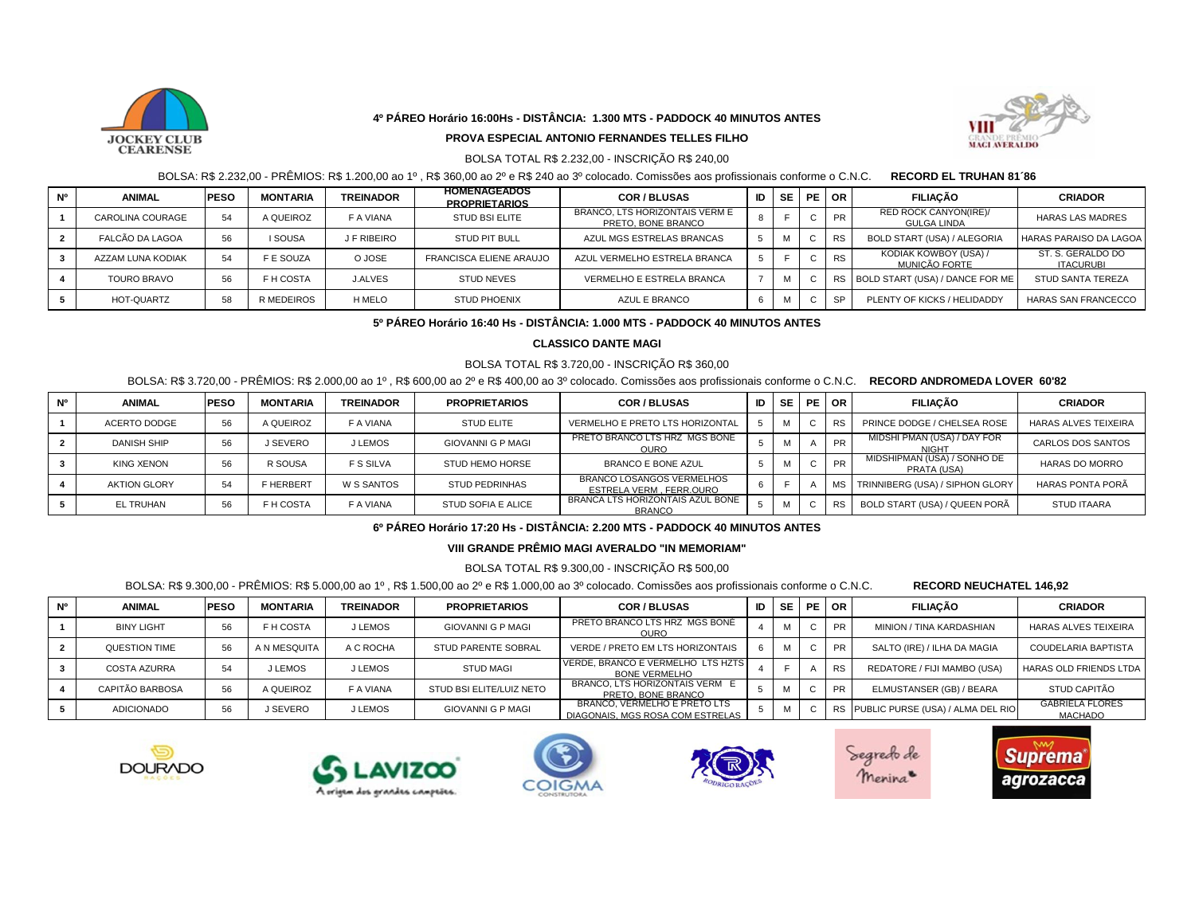

### **4º PÁREO Horário 16:00Hs - DISTÂNCIA: 1.300 MTS - PADDOCK 40 MINUTOS ANTES**



### **PROVA ESPECIAL ANTONIO FERNANDES TELLES FILHO**

# BOLSA TOTAL R\$ 2.232,00 - INSCRIÇÃO R\$ 240,00

BOLSA: R\$ 2.232,00 - PRÊMIOS: R\$ 1.200,00 ao 1º , R\$ 360,00 ao 2º e R\$ 240 ao 3º colocado. Comissões aos profissionais conforme o C.N.C. **RECORD EL TRUHAN 81´86** 

| <b>N°</b> | <b>ANIMAL</b>      | <b>PESO</b> | <b>MONTARIA</b>   | <b>TREINADOR</b> | <b>HOMENAGEADOS</b><br><b>PROPRIETARIOS</b> | <b>COR/BLUSAS</b>                                    | ID | SE I | PE OR     | <b>FILIACÃO</b>                             | <b>CRIADOR</b>                        |
|-----------|--------------------|-------------|-------------------|------------------|---------------------------------------------|------------------------------------------------------|----|------|-----------|---------------------------------------------|---------------------------------------|
|           | CAROLINA COURAGE   | 54          | A QUEIROZ         | F A VIANA        | STUD BSI ELITE                              | BRANCO, LTS HORIZONTAIS VERM E<br>PRETO, BONE BRANCO |    |      | PR        | RED ROCK CANYON(IRE)/<br><b>GULGA LINDA</b> | <b>HARAS LAS MADRES</b>               |
|           | FALCÃO DA LAGOA    | 56          | <b>I SOUSA</b>    | J F RIBEIRO      | STUD PIT BULL                               | AZUL MGS ESTRELAS BRANCAS                            |    | м    | <b>RS</b> | <b>BOLD START (USA) / ALEGORIA</b>          | HARAS PARAISO DA LAGOA                |
|           | AZZAM LUNA KODIAK  | 54          | <b>F E SOUZA</b>  | O JOSE           | <b>FRANCISCA ELIENE ARAUJO</b>              | AZUL VERMELHO ESTRELA BRANCA                         |    |      | <b>RS</b> | KODIAK KOWBOY (USA) /<br>MUNICÃO FORTE      | ST. S. GERALDO DO<br><b>ITACURUBI</b> |
|           | <b>TOURO BRAVO</b> | 56          | F H COSTA         | <b>J.ALVES</b>   | STUD NEVES                                  | VERMELHO E ESTRELA BRANCA                            |    | м    |           | RS BOLD START (USA) / DANCE FOR ME          | <b>STUD SANTA TEREZA</b>              |
|           | HOT-QUARTZ         | 58          | <b>R MEDEIROS</b> | H MELO           | <b>STUD PHOENIX</b>                         | AZUL E BRANCO                                        |    | м    | SP        | PLENTY OF KICKS / HELIDADDY                 | <b>HARAS SAN FRANCECCO</b>            |

# **5º PÁREO Horário 16:40 Hs - DISTÂNCIA: 1.000 MTS - PADDOCK 40 MINUTOS ANTES**

# **CLASSICO DANTE MAGI**

#### BOLSA TOTAL R\$ 3.720,00 - INSCRIÇÃO R\$ 360,00

### BOLSA: R\$ 3.720,00 - PRÊMIOS: R\$ 2.000,00 ao 1º , R\$ 600,00 ao 2º e R\$ 400,00 ao 3º colocado. Comissões aos profissionais conforme o C.N.C. **RECORD ANDROMEDA LOVER 60'82**

| <b>N°</b> | <b>ANIMAL</b>       | <b>PESO</b> | <b>MONTARIA</b> | <b>TREINADOR</b>  | <b>PROPRIETARIOS</b>     | <b>COR/BLUSAS</b>                                    | ID | <b>SE</b> | PE OR     | <b>FILIACÃO</b>                                  | <b>CRIADOR</b>              |
|-----------|---------------------|-------------|-----------------|-------------------|--------------------------|------------------------------------------------------|----|-----------|-----------|--------------------------------------------------|-----------------------------|
|           | ACERTO DODGE        | 56          | A QUEIROZ       | <b>F A VIANA</b>  | <b>STUD ELITE</b>        | VERMELHO E PRETO LTS HORIZONTAL                      |    | M         |           | PRINCE DODGE / CHELSEA ROSE                      | <b>HARAS ALVES TEIXEIRA</b> |
|           | <b>DANISH SHIP</b>  | 56          | J SEVERO        | J LEMOS           | <b>GIOVANNI G P MAGI</b> | PRETO BRANCO LTS HRZ MGS BONĖ<br><b>OURO</b>         |    | M         | <b>PR</b> | MIDSHI PMAN (USA) / DAY FOR<br>NIGH <sub>1</sub> | <b>CARLOS DOS SANTOS</b>    |
|           | <b>KING XENON</b>   | 56          | R SOUSA         | <b>F S SILVA</b>  | <b>STUD HEMO HORSE</b>   | <b>BRANCO E BONE AZUL</b>                            |    | M         | <b>PR</b> | MIDSHIPMAN (USA) / SONHO DE<br>PRATA (USA)       | <b>HARAS DO MORRO</b>       |
|           | <b>AKTION GLORY</b> | 54          | F HERBERT       | <b>W S SANTOS</b> | <b>STUD PEDRINHAS</b>    | BRANCO LOSANGOS VERMELHOS<br>ESTRELA VERM, FERR.OURO | n  |           |           | TRINNIBERG (USA) / SIPHON GLORY                  | HARAS PONTA PORÃ            |
|           | EL TRUHAN           | 56          | F H COSTA       | <b>F A VIANA</b>  | STUD SOFIA E ALICE       | BRANCA LTS HORIZONTAIS AZUL BONE<br><b>BRANCO</b>    |    | M         |           | BOLD START (USA) / QUEEN PORÃ                    | <b>STUD ITAARA</b>          |

#### **6º PÁREO Horário 17:20 Hs - DISTÂNCIA: 2.200 MTS - PADDOCK 40 MINUTOS ANTES**

### **VIII GRANDE PRÊMIO MAGI AVERALDO "IN MEMORIAM"**

#### BOLSA TOTAL R\$ 9.300,00 - INSCRIÇÃO R\$ 500,00

#### BOLSA: R\$ 9.300,00 - PRÊMIOS: R\$ 5.000,00 ao 1º , R\$ 1.500,00 ao 2º e R\$ 1.000,00 ao 3º colocado. Comissões aos profissionais conforme o C.N.C. **RECORD NEUCHATEL 146,92**

| <b>N°</b> | <b>ANIMAL</b>       | <b>PESO</b> | <b>MONTARIA</b> | <b>TREINADOR</b> | <b>PROPRIETARIOS</b>       | <b>COR/BLUSAS</b>                                                | ID | SE I | <b>PE OR</b> |           | <b>FILIACÃO</b>                      | <b>CRIADOR</b>                           |
|-----------|---------------------|-------------|-----------------|------------------|----------------------------|------------------------------------------------------------------|----|------|--------------|-----------|--------------------------------------|------------------------------------------|
|           | <b>BINY LIGHT</b>   | 56          | F H COSTA       | <b>J LEMOS</b>   | <b>GIOVANNI G P MAGI</b>   | PRETO BRANCO LTS HRZ MGS BONĖ<br><b>OURO</b>                     |    |      |              | <b>PR</b> | MINION / TINA KARDASHIAN             | <b>HARAS ALVES TEIXEIRA</b>              |
|           | QUESTION TIME       | 56          | A N MESQUITA    | A C ROCHA        | <b>STUD PARENTE SOBRAL</b> | VERDE / PRETO EM LTS HORIZONTAIS                                 |    |      |              | PR.       | SALTO (IRE) / ILHA DA MAGIA          | COUDELARIA BAPTISTA                      |
|           | <b>COSTA AZURRA</b> | 54          | J LEMOS         | J LEMOS          | <b>STUD MAGI</b>           | VERDE, BRANCO E VERMELHO LTS HZTS<br><b>BONE VERMELHO</b>        |    |      |              | <b>RS</b> | REDATORE / FIJI MAMBO (USA)          | HARAS OLD FRIENDS LTDA                   |
|           | CAPITÃO BARBOSA     | 56          | A QUEIROZ       | F A VIANA        | STUD BSI ELITE/LUIZ NETO   | BRANCO, LTS HORIZONTAIS VERM E<br>PRETO, BONE BRANCO             |    |      |              | PR        | ELMUSTANSER (GB) / BEARA             | STUD CAPITÃO                             |
|           | ADICIONADO          | 56          | J SEVERO        | J LEMOS          | <b>GIOVANNI G P MAGI</b>   | BRANCO, VERMELHO E PRETO LTS<br>DIAGONAIS, MGS ROSA COM ESTRELAS |    |      |              |           | RS PUBLIC PURSE (USA) / ALMA DEL RIO | <b>GABRIELA FLORES</b><br><b>MACHADO</b> |